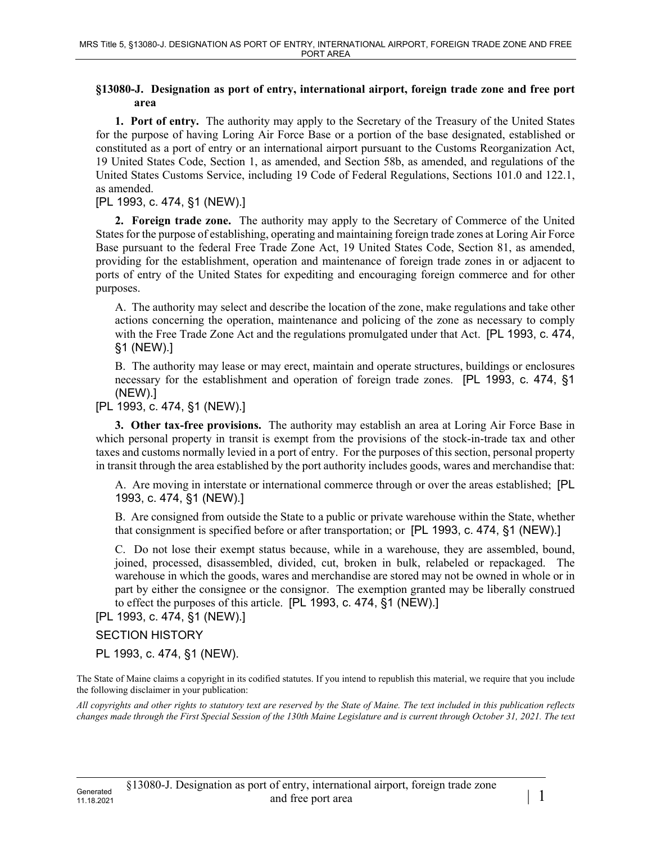## **§13080-J. Designation as port of entry, international airport, foreign trade zone and free port area**

**1. Port of entry.** The authority may apply to the Secretary of the Treasury of the United States for the purpose of having Loring Air Force Base or a portion of the base designated, established or constituted as a port of entry or an international airport pursuant to the Customs Reorganization Act, 19 United States Code, Section 1, as amended, and Section 58b, as amended, and regulations of the United States Customs Service, including 19 Code of Federal Regulations, Sections 101.0 and 122.1, as amended.

[PL 1993, c. 474, §1 (NEW).]

**2. Foreign trade zone.** The authority may apply to the Secretary of Commerce of the United States for the purpose of establishing, operating and maintaining foreign trade zones at Loring Air Force Base pursuant to the federal Free Trade Zone Act, 19 United States Code, Section 81, as amended, providing for the establishment, operation and maintenance of foreign trade zones in or adjacent to ports of entry of the United States for expediting and encouraging foreign commerce and for other purposes.

A. The authority may select and describe the location of the zone, make regulations and take other actions concerning the operation, maintenance and policing of the zone as necessary to comply with the Free Trade Zone Act and the regulations promulgated under that Act. [PL 1993, c. 474, §1 (NEW).]

B. The authority may lease or may erect, maintain and operate structures, buildings or enclosures necessary for the establishment and operation of foreign trade zones. [PL 1993, c. 474, §1 (NEW).]

[PL 1993, c. 474, §1 (NEW).]

**3. Other tax-free provisions.** The authority may establish an area at Loring Air Force Base in which personal property in transit is exempt from the provisions of the stock-in-trade tax and other taxes and customs normally levied in a port of entry. For the purposes of this section, personal property in transit through the area established by the port authority includes goods, wares and merchandise that:

A. Are moving in interstate or international commerce through or over the areas established; [PL 1993, c. 474, §1 (NEW).]

B. Are consigned from outside the State to a public or private warehouse within the State, whether that consignment is specified before or after transportation; or [PL 1993, c. 474, §1 (NEW).]

C. Do not lose their exempt status because, while in a warehouse, they are assembled, bound, joined, processed, disassembled, divided, cut, broken in bulk, relabeled or repackaged. The warehouse in which the goods, wares and merchandise are stored may not be owned in whole or in part by either the consignee or the consignor. The exemption granted may be liberally construed to effect the purposes of this article. [PL 1993, c. 474, §1 (NEW).]

[PL 1993, c. 474, §1 (NEW).]

SECTION HISTORY

PL 1993, c. 474, §1 (NEW).

The State of Maine claims a copyright in its codified statutes. If you intend to republish this material, we require that you include the following disclaimer in your publication:

*All copyrights and other rights to statutory text are reserved by the State of Maine. The text included in this publication reflects changes made through the First Special Session of the 130th Maine Legislature and is current through October 31, 2021. The text*